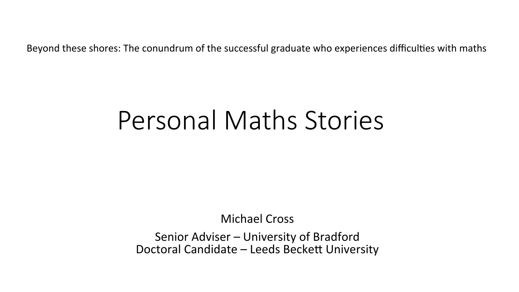Beyond these shores: The conundrum of the successful graduate who experiences difficulties with maths

# Personal Maths Stories

**Michael Cross** 

Senior Adviser – University of Bradford Doctoral Candidate - Leeds Beckett University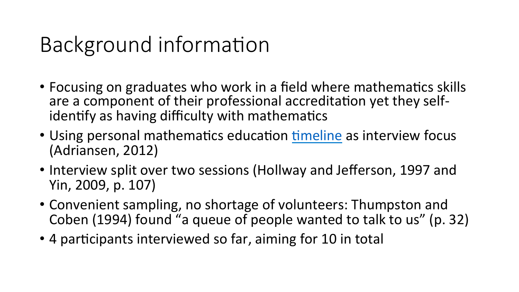# Background information

- Focusing on graduates who work in a field where mathematics skills are a component of their professional accreditation yet they selfidentify as having difficulty with mathematics
- Using personal mathematics education timeline as interview focus (Adriansen, 2012)
- Interview split over two sessions (Hollway and Jefferson, 1997 and Yin, 2009, p. 107)
- Convenient sampling, no shortage of volunteers: Thumpston and Coben (1994) found "a queue of people wanted to talk to us" (p. 32)
- 4 participants interviewed so far, aiming for 10 in total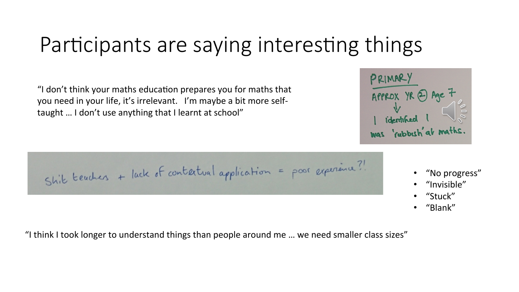## Participants are saying interesting things

"I don't think your maths education prepares you for maths that you need in your life, it's irrelevant. I'm maybe a bit more selftaught ... I don't use anything that I learnt at school"

- "No progress"
- "Invisible"
- "Stuck"
- "Blank"

"I think I took longer to understand things than people around me ... we need smaller class sizes"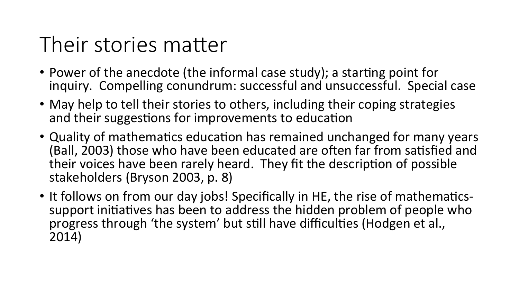## Their stories matter

- Power of the anecdote (the informal case study); a starting point for inquiry. Compelling conundrum: successful and unsuccessful. Special case
- May help to tell their stories to others, including their coping strategies and their suggestions for improvements to education
- Quality of mathematics education has remained unchanged for many years (Ball, 2003) those who have been educated are often far from satisfied and their voices have been rarely heard. They fit the description of possible stakeholders (Bryson 2003, p. 8)
- It follows on from our day jobs! Specifically in HE, the rise of mathematicssupport initiatives has been to address the hidden problem of people who progress through 'the system' but still have difficulties (Hodgen et al., 2014)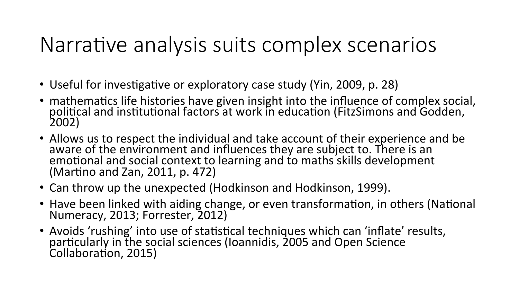### Narrative analysis suits complex scenarios

- Useful for investigative or exploratory case study (Yin, 2009, p. 28)
- mathematics life histories have given insight into the influence of complex social, political and institutional factors at work in education (FitzSimons and Godden, 2002)
- Allows us to respect the individual and take account of their experience and be aware of the environment and influences they are subject to. There is an emotional and social context to learning and to maths skills development (Martino and Zan, 2011,  $p. 472$ )
- Can throw up the unexpected (Hodkinson and Hodkinson, 1999).
- Have been linked with aiding change, or even transformation, in others (National Numeracy, 2013; Forrester, 2012)
- Avoids 'rushing' into use of statistical techniques which can 'inflate' results, particularly in the social sciences (Ioannidis, 2005 and Open Science Collaboration, 2015)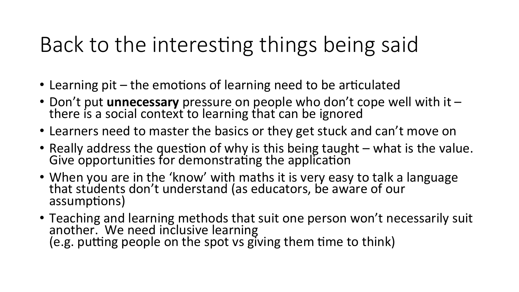## Back to the interesting things being said

- Learning pit  $-$  the emotions of learning need to be articulated
- Don't put **unnecessary** pressure on people who don't cope well with it there is a social context to learning that can be ignored
- Learners need to master the basics or they get stuck and can't move on
- Really address the question of why is this being taught  $-$  what is the value. Give opportunities for demonstrating the application
- When you are in the 'know' with maths it is very easy to talk a language that students don't understand (as educators, be aware of our assumptions)
- Teaching and learning methods that suit one person won't necessarily suit another. We need inclusive learning  $(e.g.$  putting people on the spot vs giving them time to think)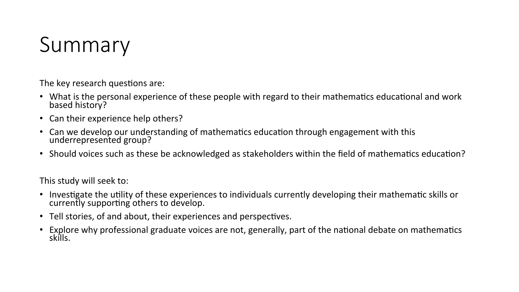### Summary

The key research questions are:

- What is the personal experience of these people with regard to their mathematics educational and work based history?
- Can their experience help others?
- Can we develop our understanding of mathematics education through engagement with this underrepresented group?
- Should voices such as these be acknowledged as stakeholders within the field of mathematics education?

This study will seek to:

- Investigate the utility of these experiences to individuals currently developing their mathematic skills or currently supporting others to develop.
- Tell stories, of and about, their experiences and perspectives.
- Explore why professional graduate voices are not, generally, part of the national debate on mathematics skills.